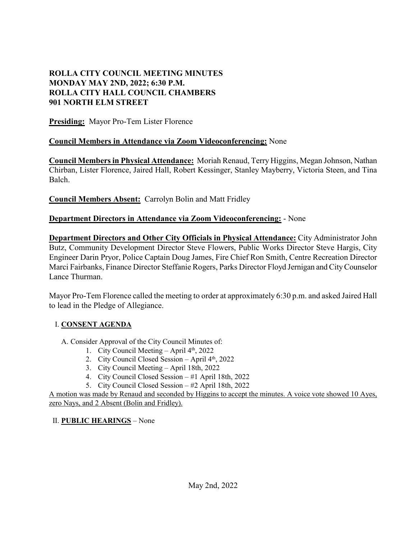# **ROLLA CITY COUNCIL MEETING MINUTES MONDAY MAY 2ND, 2022; 6:30 P.M. ROLLA CITY HALL COUNCIL CHAMBERS 901 NORTH ELM STREET**

**Presiding:** Mayor Pro-Tem Lister Florence

# **Council Members in Attendance via Zoom Videoconferencing:** None

**Council Members in Physical Attendance:** Moriah Renaud, Terry Higgins, Megan Johnson, Nathan Chirban, Lister Florence, Jaired Hall, Robert Kessinger, Stanley Mayberry, Victoria Steen, and Tina Balch.

**Council Members Absent:** Carrolyn Bolin and Matt Fridley

# **Department Directors in Attendance via Zoom Videoconferencing:** - None

**Department Directors and Other City Officials in Physical Attendance:** City Administrator John Butz, Community Development Director Steve Flowers, Public Works Director Steve Hargis, City Engineer Darin Pryor, Police Captain Doug James, Fire Chief Ron Smith, Centre Recreation Director Marci Fairbanks, Finance Director Steffanie Rogers, Parks Director Floyd Jernigan and City Counselor Lance Thurman.

Mayor Pro-Tem Florence called the meeting to order at approximately 6:30 p.m. and asked Jaired Hall to lead in the Pledge of Allegiance.

## I. **CONSENT AGENDA**

A. Consider Approval of the City Council Minutes of:

- 1. City Council Meeting April  $4<sup>th</sup>$ , 2022
- 2. City Council Closed Session April 4<sup>th</sup>, 2022
- 3. City Council Meeting April 18th, 2022
- 4. City Council Closed Session #1 April 18th, 2022
- 5. City Council Closed Session #2 April 18th, 2022

A motion was made by Renaud and seconded by Higgins to accept the minutes. A voice vote showed 10 Ayes, zero Nays, and 2 Absent (Bolin and Fridley).

## II. **PUBLIC HEARINGS** – None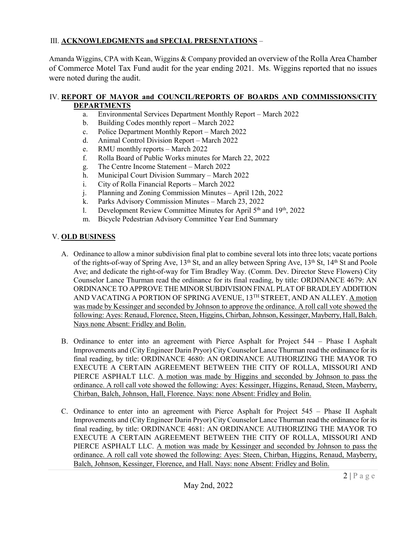### III. **ACKNOWLEDGMENTS and SPECIAL PRESENTATIONS** –

Amanda Wiggins, CPA with Kean, Wiggins & Company provided an overview of the Rolla Area Chamber of Commerce Motel Tax Fund audit for the year ending 2021. Ms. Wiggins reported that no issues were noted during the audit.

### IV. **REPORT OF MAYOR and COUNCIL/REPORTS OF BOARDS AND COMMISSIONS/CITY DEPARTMENTS**

- a. Environmental Services Department Monthly Report March 2022
- b. Building Codes monthly report March 2022
- c. Police Department Monthly Report March 2022
- d. Animal Control Division Report March 2022
- e. RMU monthly reports March 2022
- f. Rolla Board of Public Works minutes for March 22, 2022
- g. The Centre Income Statement March 2022
- h. Municipal Court Division Summary March 2022
- i. City of Rolla Financial Reports March 2022
- j. Planning and Zoning Commission Minutes April 12th, 2022
- k. Parks Advisory Commission Minutes March 23, 2022
- l. Development Review Committee Minutes for April  $5<sup>th</sup>$  and  $19<sup>th</sup>$ , 2022
- m. Bicycle Pedestrian Advisory Committee Year End Summary

# V. **OLD BUSINESS**

- A. Ordinance to allow a minor subdivision final plat to combine several lots into three lots; vacate portions of the rights-of-way of Spring Ave, 13<sup>th</sup> St, and an alley between Spring Ave, 13<sup>th</sup> St, 14<sup>th</sup> St and Poole Ave; and dedicate the right-of-way for Tim Bradley Way. (Comm. Dev. Director Steve Flowers) City Counselor Lance Thurman read the ordinance for its final reading, by title: ORDINANCE 4679: AN ORDINANCE TO APPROVE THE MINOR SUBDIVISION FINAL PLAT OF BRADLEY ADDITION AND VACATING A PORTION OF SPRING AVENUE, 13TH STREET, AND AN ALLEY. A motion was made by Kessinger and seconded by Johnson to approve the ordinance. A roll call vote showed the following: Ayes: Renaud, Florence, Steen, Higgins, Chirban, Johnson, Kessinger, Mayberry, Hall, Balch. Nays none Absent: Fridley and Bolin.
- B. Ordinance to enter into an agreement with Pierce Asphalt for Project 544 Phase I Asphalt Improvements and (City Engineer Darin Pryor) City Counselor Lance Thurman read the ordinance for its final reading, by title: ORDINANCE 4680: AN ORDINANCE AUTHORIZING THE MAYOR TO EXECUTE A CERTAIN AGREEMENT BETWEEN THE CITY OF ROLLA, MISSOURI AND PIERCE ASPHALT LLC. A motion was made by Higgins and seconded by Johnson to pass the ordinance. A roll call vote showed the following: Ayes: Kessinger, Higgins, Renaud, Steen, Mayberry, Chirban, Balch, Johnson, Hall, Florence. Nays: none Absent: Fridley and Bolin.
- C. Ordinance to enter into an agreement with Pierce Asphalt for Project 545 Phase II Asphalt Improvements and (City Engineer Darin Pryor) City Counselor Lance Thurman read the ordinance for its final reading, by title: ORDINANCE 4681: AN ORDINANCE AUTHORIZING THE MAYOR TO EXECUTE A CERTAIN AGREEMENT BETWEEN THE CITY OF ROLLA, MISSOURI AND PIERCE ASPHALT LLC. A motion was made by Kessinger and seconded by Johnson to pass the ordinance. A roll call vote showed the following: Ayes: Steen, Chirban, Higgins, Renaud, Mayberry, Balch, Johnson, Kessinger, Florence, and Hall. Nays: none Absent: Fridley and Bolin.